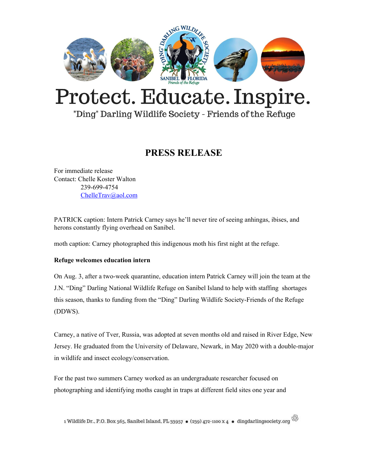

# Protect. Educate. Inspire.

"Ding" Darling Wildlife Society - Friends of the Refuge

### **PRESS RELEASE**

For immediate release Contact: Chelle Koster Walton 239-699-4754 [ChelleTrav@aol.com](mailto:ChelleTrav@aol.com)

PATRICK caption: Intern Patrick Carney says he'll never tire of seeing anhingas, ibises, and herons constantly flying overhead on Sanibel.

moth caption: Carney photographed this indigenous moth his first night at the refuge.

### **Refuge welcomes education intern**

On Aug. 3, after a two-week quarantine, education intern Patrick Carney will join the team at the J.N. "Ding" Darling National Wildlife Refuge on Sanibel Island to help with staffing shortages this season, thanks to funding from the "Ding" Darling Wildlife Society-Friends of the Refuge (DDWS).

Carney, a native of Tver, Russia, was adopted at seven months old and raised in River Edge, New Jersey. He graduated from the University of Delaware, Newark, in May 2020 with a double-major in wildlife and insect ecology/conservation.

For the past two summers Carney worked as an undergraduate researcher focused on photographing and identifying moths caught in traps at different field sites one year and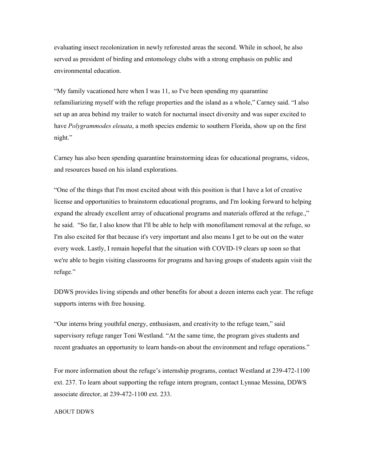evaluating insect recolonization in newly reforested areas the second. While in school, he also served as president of birding and entomology clubs with a strong emphasis on public and environmental education.

"My family vacationed here when I was 11, so I've been spending my quarantine refamiliarizing myself with the refuge properties and the island as a whole," Carney said. "I also set up an area behind my trailer to watch for nocturnal insect diversity and was super excited to have *Polygrammodes eleuata*, a moth species endemic to southern Florida, show up on the first night."

Carney has also been spending quarantine brainstorming ideas for educational programs, videos, and resources based on his island explorations.

"One of the things that I'm most excited about with this position is that I have a lot of creative license and opportunities to brainstorm educational programs, and I'm looking forward to helping expand the already excellent array of educational programs and materials offered at the refuge.," he said. "So far, I also know that I'll be able to help with monofilament removal at the refuge, so I'm also excited for that because it's very important and also means I get to be out on the water every week. Lastly, I remain hopeful that the situation with COVID-19 clears up soon so that we're able to begin visiting classrooms for programs and having groups of students again visit the refuge."

DDWS provides living stipends and other benefits for about a dozen interns each year. The refuge supports interns with free housing.

"Our interns bring youthful energy, enthusiasm, and creativity to the refuge team," said supervisory refuge ranger Toni Westland. "At the same time, the program gives students and recent graduates an opportunity to learn hands-on about the environment and refuge operations."

For more information about the refuge's internship programs, contact Westland at 239-472-1100 ext. 237. To learn about supporting the refuge intern program, contact Lynnae Messina, DDWS associate director, at 239-472-1100 ext. 233.

#### ABOUT DDWS